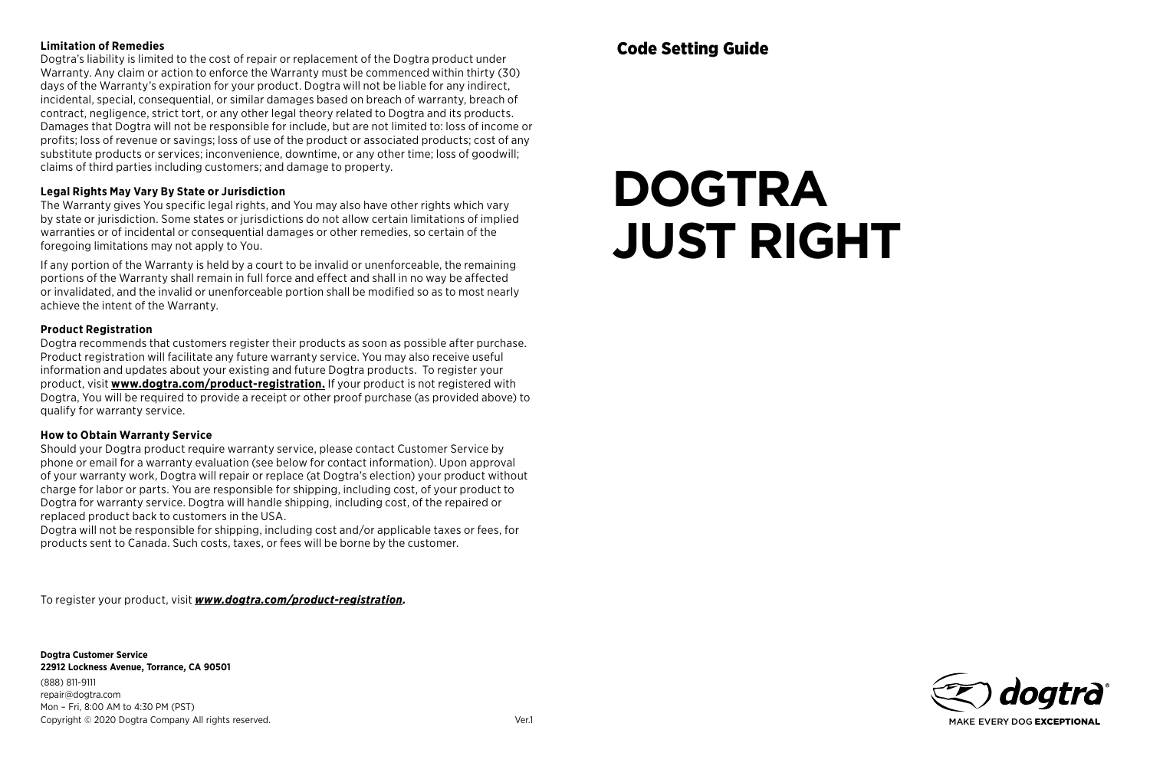## **Limitation of Remedies**

Dogtra's liability is limited to the cost of repair or replacement of the Dogtra product under Warranty. Any claim or action to enforce the Warranty must be commenced within thirty (30) days of the Warranty's expiration for your product. Dogtra will not be liable for any indirect, incidental, special, consequential, or similar damages based on breach of warranty, breach of contract, negligence, strict tort, or any other legal theory related to Dogtra and its products. Damages that Dogtra will not be responsible for include, but are not limited to: loss of income or profits; loss of revenue or savings; loss of use of the product or associated products; cost of any substitute products or services; inconvenience, downtime, or any other time; loss of goodwill; claims of third parties including customers; and damage to property.

## **Legal Rights May Vary By State or Jurisdiction**

The Warranty gives You specific legal rights, and You may also have other rights which vary by state or jurisdiction. Some states or jurisdictions do not allow certain limitations of implied warranties or of incidental or consequential damages or other remedies, so certain of the foregoing limitations may not apply to You.

If any portion of the Warranty is held by a court to be invalid or unenforceable, the remaining portions of the Warranty shall remain in full force and effect and shall in no way be affected or invalidated, and the invalid or unenforceable portion shall be modified so as to most nearly achieve the intent of the Warranty.

#### **Product Registration**

Dogtra recommends that customers register their products as soon as possible after purchase. Product registration will facilitate any future warranty service. You may also receive useful information and updates about your existing and future Dogtra products. To register your product, visit **www.dogtra.com/product-registration.** If your product is not registered with Dogtra, You will be required to provide a receipt or other proof purchase (as provided above) to qualify for warranty service.

## **How to Obtain Warranty Service**

Should your Dogtra product require warranty service, please contact Customer Service by phone or email for a warranty evaluation (see below for contact information). Upon approval of your warranty work, Dogtra will repair or replace (at Dogtra's election) your product without charge for labor or parts. You are responsible for shipping, including cost, of your product to Dogtra for warranty service. Dogtra will handle shipping, including cost, of the repaired or replaced product back to customers in the USA.

Dogtra will not be responsible for shipping, including cost and/or applicable taxes or fees, for products sent to Canada. Such costs, taxes, or fees will be borne by the customer.

To register your product, visit *www.dogtra.com/product-registration.*

**Dogtra Customer Service 22912 Lockness Avenue, Torrance, CA 90501** (888) 811-9111 repair@dogtra.com Mon – Fri, 8:00 AM to 4:30 PM (PST) Copyright © 2020 Dogtra Company All rights reserved. Ver.1

# **DOGTRA JUST RIGHT**